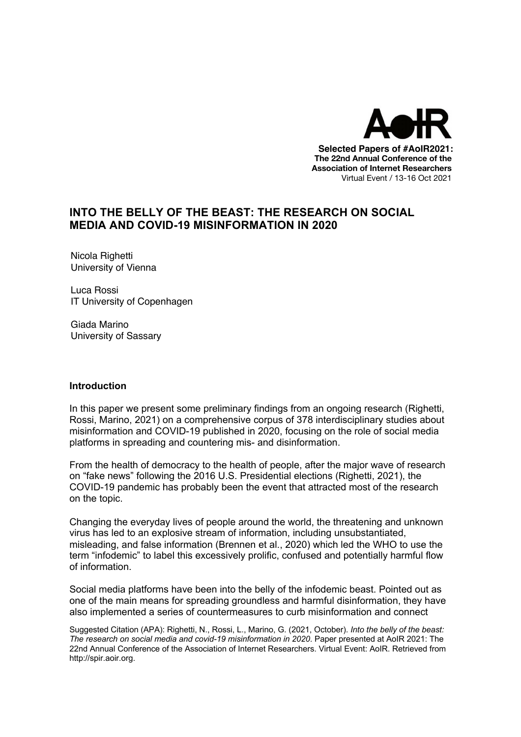

# **INTO THE BELLY OF THE BEAST: THE RESEARCH ON SOCIAL MEDIA AND COVID-19 MISINFORMATION IN 2020**

Nicola Righetti University of Vienna

Luca Rossi IT University of Copenhagen

Giada Marino University of Sassary

### **Introduction**

In this paper we present some preliminary findings from an ongoing research (Righetti, Rossi, Marino, 2021) on a comprehensive corpus of 378 interdisciplinary studies about misinformation and COVID-19 published in 2020, focusing on the role of social media platforms in spreading and countering mis- and disinformation.

From the health of democracy to the health of people, after the major wave of research on "fake news" following the 2016 U.S. Presidential elections (Righetti, 2021), the COVID-19 pandemic has probably been the event that attracted most of the research on the topic.

Changing the everyday lives of people around the world, the threatening and unknown virus has led to an explosive stream of information, including unsubstantiated, misleading, and false information (Brennen et al., 2020) which led the WHO to use the term "infodemic" to label this excessively prolific, confused and potentially harmful flow of information.

Social media platforms have been into the belly of the infodemic beast. Pointed out as one of the main means for spreading groundless and harmful disinformation, they have also implemented a series of countermeasures to curb misinformation and connect

Suggested Citation (APA): Righetti, N., Rossi, L., Marino, G. (2021, October). *Into the belly of the beast: The research on social media and covid-19 misinformation in 2020*. Paper presented at AoIR 2021: The 22nd Annual Conference of the Association of Internet Researchers. Virtual Event: AoIR. Retrieved from http://spir.aoir.org.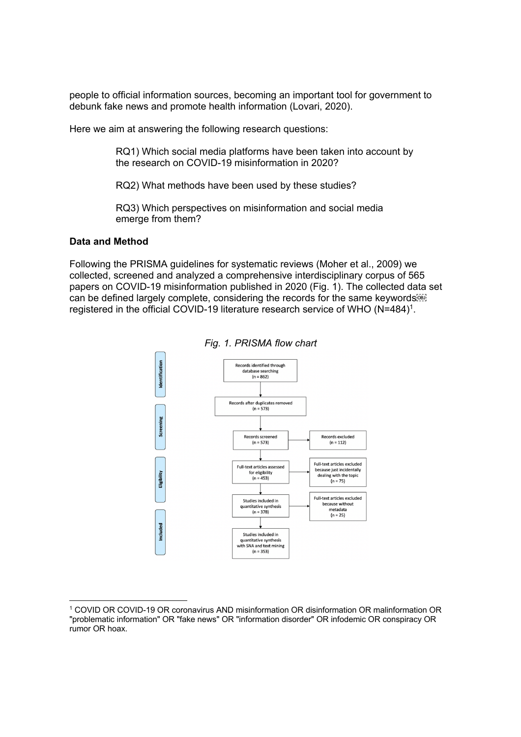people to official information sources, becoming an important tool for government to debunk fake news and promote health information (Lovari, 2020).

Here we aim at answering the following research questions:

RQ1) Which social media platforms have been taken into account by the research on COVID-19 misinformation in 2020?

RQ2) What methods have been used by these studies?

RQ3) Which perspectives on misinformation and social media emerge from them?

### **Data and Method**

Following the PRISMA guidelines for systematic reviews (Moher et al., 2009) we collected, screened and analyzed a comprehensive interdisciplinary corpus of 565 papers on COVID-19 misinformation published in 2020 (Fig. 1). The collected data set can be defined largely complete, considering the records for the same keywords registered in the official COVID-19 literature research service of WHO (N=484)1.



*Fig. 1. PRISMA flow chart*

<sup>1</sup> COVID OR COVID-19 OR coronavirus AND misinformation OR disinformation OR malinformation OR "problematic information" OR "fake news" OR "information disorder" OR infodemic OR conspiracy OR rumor OR hoax.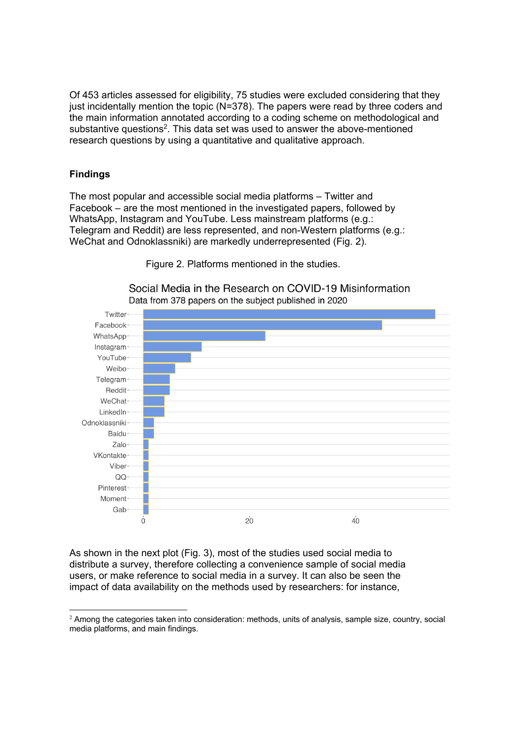Of 453 articles assessed for eligibility, 75 studies were excluded considering that they just incidentally mention the topic (N=378). The papers were read by three coders and the main information annotated according to a coding scheme on methodological and substantive questions<sup>2</sup>. This data set was used to answer the above-mentioned research questions by using a quantitative and qualitative approach.

## **Findings**

The most popular and accessible social media platforms – Twitter and Facebook – are the most mentioned in the investigated papers, followed by WhatsApp, Instagram and YouTube. Less mainstream platforms (e.g.: Telegram and Reddit) are less represented, and non-Western platforms (e.g.: WeChat and Odnoklassniki) are markedly underrepresented (Fig. 2).

Figure 2. Platforms mentioned in the studies.

Social Media in the Research on COVID-19 Misinformation Data from 378 papers on the subject published in 2020



As shown in the next plot (Fig. 3), most of the studies used social media to distribute a survey, therefore collecting a convenience sample of social media users, or make reference to social media in a survey. It can also be seen the impact of data availability on the methods used by researchers: for instance,

 $2$  Among the categories taken into consideration: methods, units of analysis, sample size, country, social media platforms, and main findings.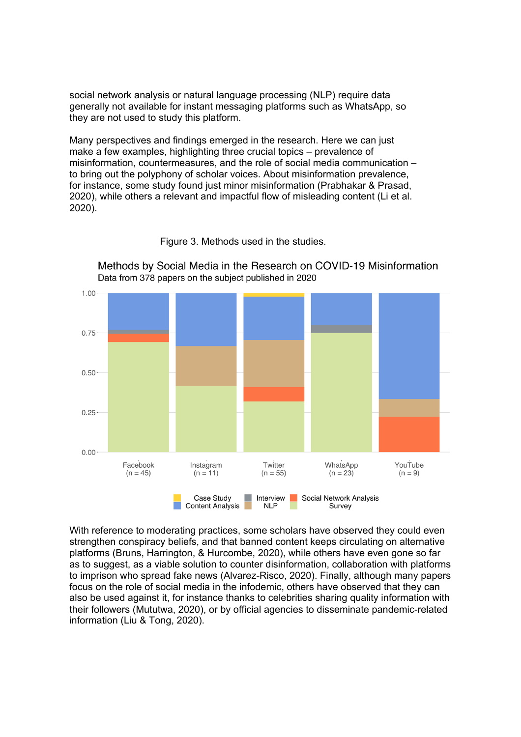social network analysis or natural language processing (NLP) require data generally not available for instant messaging platforms such as WhatsApp, so they are not used to study this platform.

Many perspectives and findings emerged in the research. Here we can just make a few examples, highlighting three crucial topics – prevalence of misinformation, countermeasures, and the role of social media communication – to bring out the polyphony of scholar voices. About misinformation prevalence, for instance, some study found just minor misinformation (Prabhakar & Prasad, 2020), while others a relevant and impactful flow of misleading content (Li et al. 2020).



Figure 3. Methods used in the studies.

Methods by Social Media in the Research on COVID-19 Misinformation Data from 378 papers on the subject published in 2020

With reference to moderating practices, some scholars have observed they could even strengthen conspiracy beliefs, and that banned content keeps circulating on alternative platforms (Bruns, Harrington, & Hurcombe, 2020), while others have even gone so far as to suggest, as a viable solution to counter disinformation, collaboration with platforms to imprison who spread fake news (Alvarez-Risco, 2020). Finally, although many papers focus on the role of social media in the infodemic, others have observed that they can also be used against it, for instance thanks to celebrities sharing quality information with their followers (Mututwa, 2020), or by official agencies to disseminate pandemic-related information (Liu & Tong, 2020).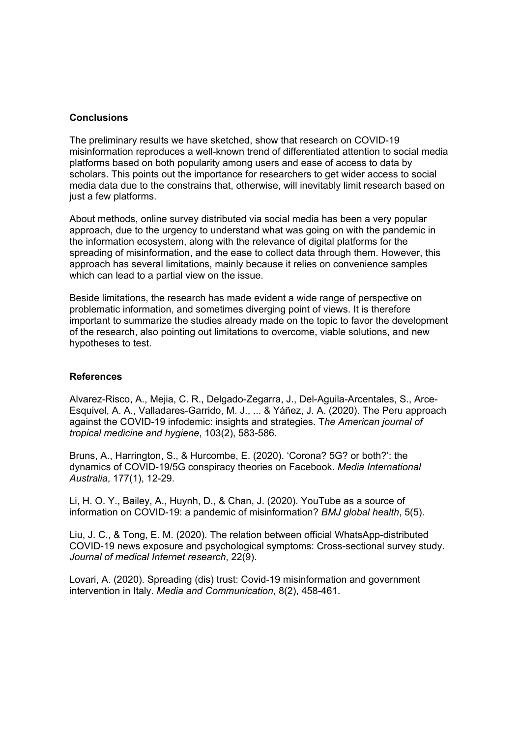### **Conclusions**

The preliminary results we have sketched, show that research on COVID-19 misinformation reproduces a well-known trend of differentiated attention to social media platforms based on both popularity among users and ease of access to data by scholars. This points out the importance for researchers to get wider access to social media data due to the constrains that, otherwise, will inevitably limit research based on just a few platforms.

About methods, online survey distributed via social media has been a very popular approach, due to the urgency to understand what was going on with the pandemic in the information ecosystem, along with the relevance of digital platforms for the spreading of misinformation, and the ease to collect data through them. However, this approach has several limitations, mainly because it relies on convenience samples which can lead to a partial view on the issue.

Beside limitations, the research has made evident a wide range of perspective on problematic information, and sometimes diverging point of views. It is therefore important to summarize the studies already made on the topic to favor the development of the research, also pointing out limitations to overcome, viable solutions, and new hypotheses to test.

### **References**

Alvarez-Risco, A., Mejia, C. R., Delgado-Zegarra, J., Del-Aguila-Arcentales, S., Arce-Esquivel, A. A., Valladares-Garrido, M. J., ... & Yáñez, J. A. (2020). The Peru approach against the COVID-19 infodemic: insights and strategies. T*he American journal of tropical medicine and hygiene*, 103(2), 583-586.

Bruns, A., Harrington, S., & Hurcombe, E. (2020). 'Corona? 5G? or both?': the dynamics of COVID-19/5G conspiracy theories on Facebook. *Media International Australia*, 177(1), 12-29.

Li, H. O. Y., Bailey, A., Huynh, D., & Chan, J. (2020). YouTube as a source of information on COVID-19: a pandemic of misinformation? *BMJ global health*, 5(5).

Liu, J. C., & Tong, E. M. (2020). The relation between official WhatsApp-distributed COVID-19 news exposure and psychological symptoms: Cross-sectional survey study. *Journal of medical Internet research*, 22(9).

Lovari, A. (2020). Spreading (dis) trust: Covid-19 misinformation and government intervention in Italy. *Media and Communication*, 8(2), 458-461.